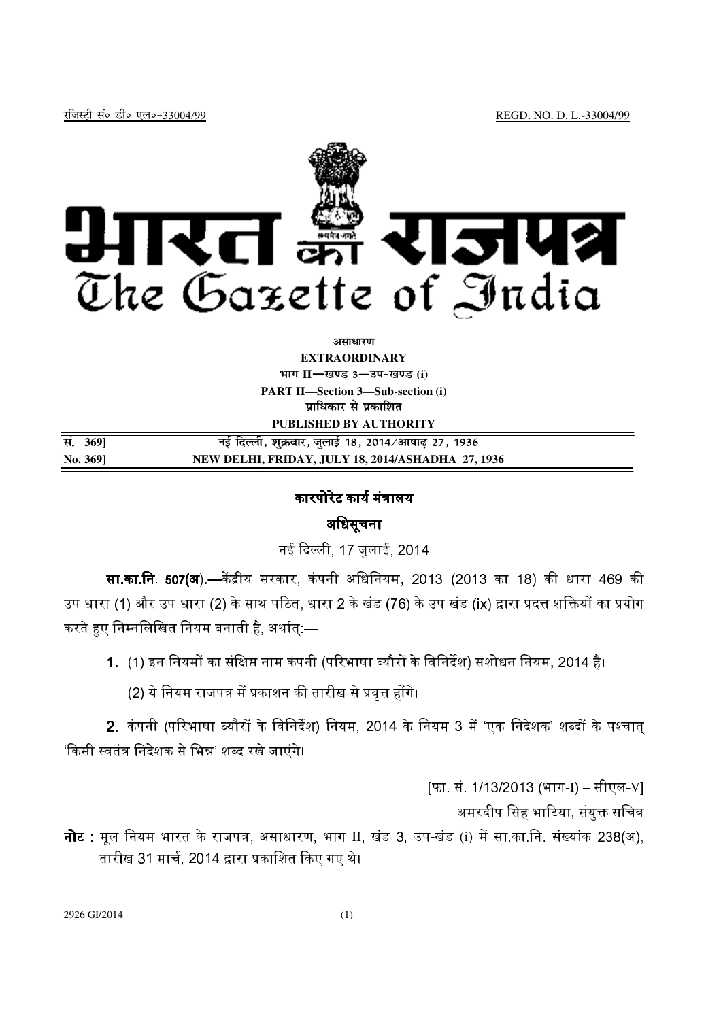

### *<u>ature</u>nt*

**EXTRAORDINARY Hkkx II**—**[k.M 3**—**mi&[k.M (i) PART II—Section 3—Sub-section (i) पाधिकार से प्रकाशित** 

**PUBLISHED BY AUTHORITY** 

| सं. 3691 | नई दिल्ली, शुक्रवार, जुलाई 18, 2014/आषाढ़ 27, 1936 |
|----------|----------------------------------------------------|
| No. 3691 | NEW DELHI, FRIDAY, JULY 18, 2014/ASHADHA 27, 1936  |

# कारपोरेट कार्य मंत्रालय

# अधिसूचना

नई दिल्ली. 17 जलाई. 2014

**सा.का.नि. 507(अ**) —केंद्रीय सरकार. कंपनी अधिनियम. 2013 (2013 का 18) की धारा 469 की उप-धारा (1) और उप-धारा (2) के साथ पठित. धारा 2 के खंड (76) के उप-खंड (ix) द्वारा प्रदत्त शक्तियों का प्रयोग करते हुए निम्नलिखित नियम बनाती है, अर्थात् $:=$ 

- 1. (1) इन नियमों का संक्षिप्त नाम कंपनी (परिभाषा ब्यौरों के विनिर्देश) संशोधन नियम. 2014 है।
	- (2) ये नियम राजपत्र में प्रकाशन की तारीख से प्रवत्त होंगे।

2. कंपनी (परिभाषा ब्यौरों के विनिर्देश) नियम, 2014 के नियम 3 में 'एक निदेशक' शब्दों के पश्चात 'किसी स्वतंत्र निदेशक से भिन्न' शब्द रखे जाएंगे।

[फा. सं. 1/13/2013 (भाग-I) – सीएल-V]

अमरदीप सिंह भाटिया, संयुक्त सचिव

**नोट** : मूल नियम भारत के राजपत्र, असाधारण, भाग II, खंड 3, उप-खंड (i) में सा का.नि. संख्यांक 238(अ), तारीख 31 मार्च, 2014 द्वारा प्रकाशित किए गए थे।

2926 GI/2014 (1)